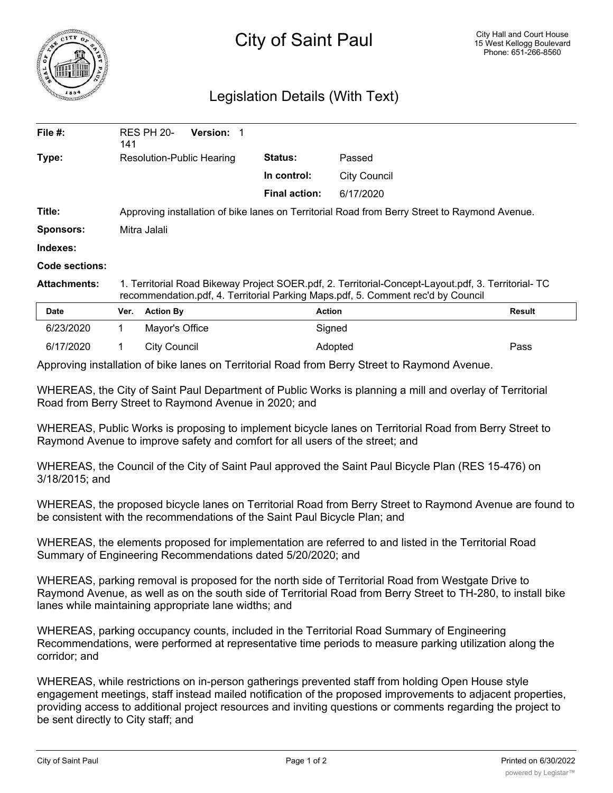

## Legislation Details (With Text)

| File #:             | 141                                                                                                                                                                                     | RES PH 20-       | <b>Version: 1</b> |                      |                     |        |
|---------------------|-----------------------------------------------------------------------------------------------------------------------------------------------------------------------------------------|------------------|-------------------|----------------------|---------------------|--------|
| Type:               | Resolution-Public Hearing                                                                                                                                                               |                  | <b>Status:</b>    | Passed               |                     |        |
|                     |                                                                                                                                                                                         |                  |                   | In control:          | <b>City Council</b> |        |
|                     |                                                                                                                                                                                         |                  |                   | <b>Final action:</b> | 6/17/2020           |        |
| Title:              | Approving installation of bike lanes on Territorial Road from Berry Street to Raymond Avenue.                                                                                           |                  |                   |                      |                     |        |
| <b>Sponsors:</b>    | Mitra Jalali                                                                                                                                                                            |                  |                   |                      |                     |        |
| Indexes:            |                                                                                                                                                                                         |                  |                   |                      |                     |        |
| Code sections:      |                                                                                                                                                                                         |                  |                   |                      |                     |        |
| <b>Attachments:</b> | 1. Territorial Road Bikeway Project SOER.pdf, 2. Territorial-Concept-Layout.pdf, 3. Territorial- TC<br>recommendation.pdf, 4. Territorial Parking Maps.pdf, 5. Comment rec'd by Council |                  |                   |                      |                     |        |
| <b>Date</b>         | Ver.                                                                                                                                                                                    | <b>Action By</b> |                   | <b>Action</b>        |                     | Result |
| 6/23/2020           | 1                                                                                                                                                                                       | Mayor's Office   |                   | Signed               |                     |        |

Approving installation of bike lanes on Territorial Road from Berry Street to Raymond Avenue.

WHEREAS, the City of Saint Paul Department of Public Works is planning a mill and overlay of Territorial Road from Berry Street to Raymond Avenue in 2020; and

6/17/2020 1 City Council Adopted Pass

WHEREAS, Public Works is proposing to implement bicycle lanes on Territorial Road from Berry Street to Raymond Avenue to improve safety and comfort for all users of the street; and

WHEREAS, the Council of the City of Saint Paul approved the Saint Paul Bicycle Plan (RES 15-476) on 3/18/2015; and

WHEREAS, the proposed bicycle lanes on Territorial Road from Berry Street to Raymond Avenue are found to be consistent with the recommendations of the Saint Paul Bicycle Plan; and

WHEREAS, the elements proposed for implementation are referred to and listed in the Territorial Road Summary of Engineering Recommendations dated 5/20/2020; and

WHEREAS, parking removal is proposed for the north side of Territorial Road from Westgate Drive to Raymond Avenue, as well as on the south side of Territorial Road from Berry Street to TH-280, to install bike lanes while maintaining appropriate lane widths; and

WHEREAS, parking occupancy counts, included in the Territorial Road Summary of Engineering Recommendations, were performed at representative time periods to measure parking utilization along the corridor; and

WHEREAS, while restrictions on in-person gatherings prevented staff from holding Open House style engagement meetings, staff instead mailed notification of the proposed improvements to adjacent properties, providing access to additional project resources and inviting questions or comments regarding the project to be sent directly to City staff; and